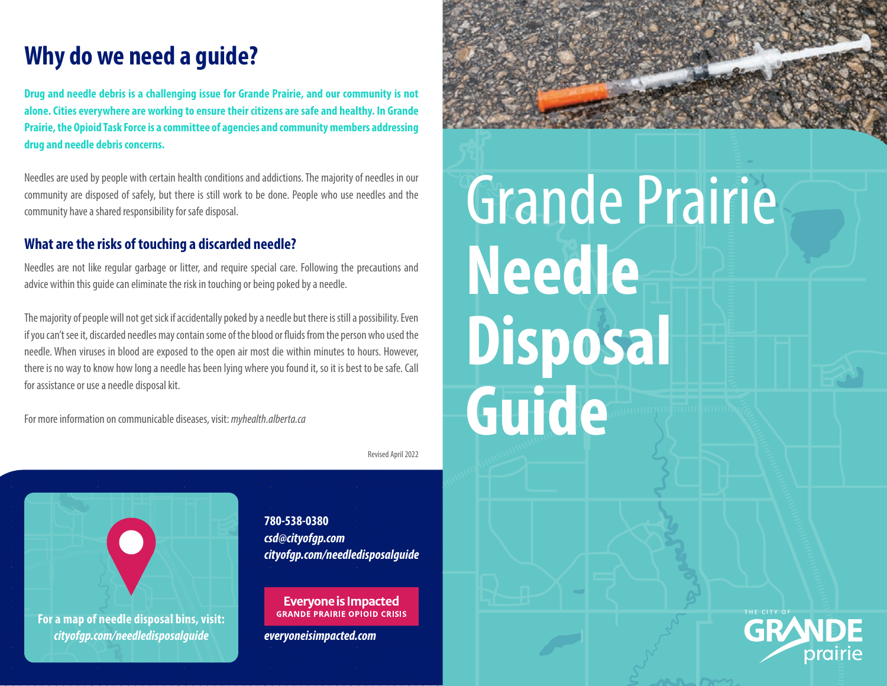# **Why do we need a guide?**

**Drug and needle debris is a challenging issue for Grande Prairie, and our community is not alone. Cities everywhere are working to ensure their citizens are safe and healthy. In Grande Prairie, the Opioid Task Force is a committee of agencies and community members addressing drug and needle debris concerns.**

Needles are used by people with certain health conditions and addictions. The majority of needles in our community are disposed of safely, but there is still work to be done. People who use needles and the community have a shared responsibility for safe disposal.

## **What are the risks of touching a discarded needle?**

Needles are not like regular garbage or litter, and require special care. Following the precautions and advice within this guide can eliminate the risk in touching or being poked by a needle.

The majority of people will not get sick if accidentally poked by a needle but there is still a possibility. Even if you can't see it, discarded needles may contain some of the blood or fluids from the person who used the needle. When viruses in blood are exposed to the open air most die within minutes to hours. However, there is no way to know how long a needle has been lying where you found it, so it is best to be safe. Call for assistance or use a needle disposal kit.

For more information on communicable diseases, visit: *myhealth.alberta.ca*

Revised April 2022



**780-538-0380** *csd@cityofgp.com cityofgp.com/needledisposalguide*

**Everyone is Impacted GRANDE PRAIRIE OPIOID CRISIS** 

*everyoneisimpacted.com*



# Grande Prairie **Needle Disposal Guide**